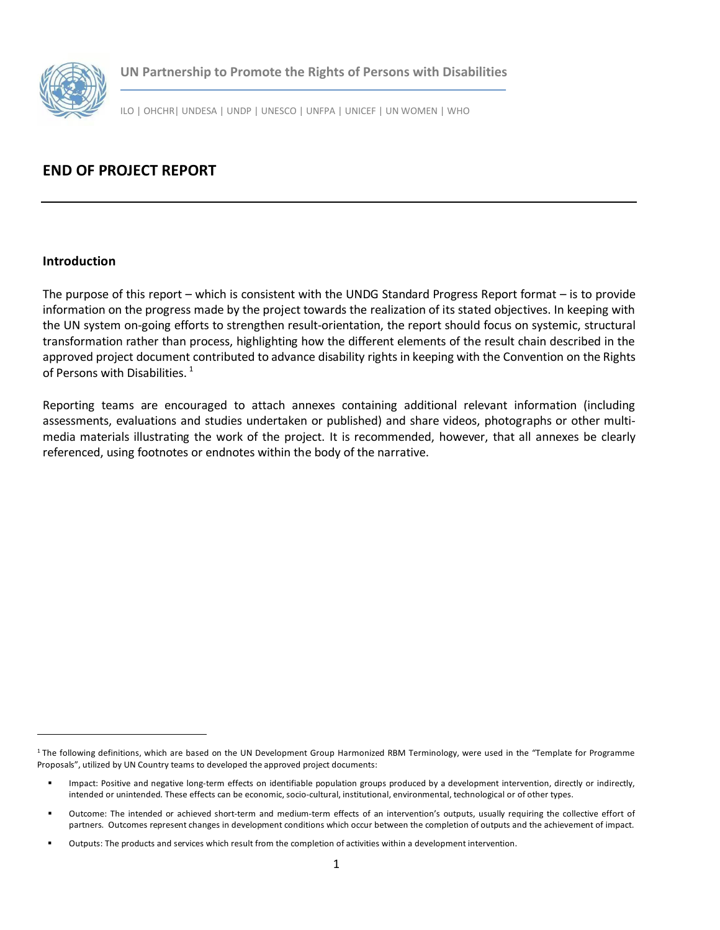

**UN Partnership to Promote the Rights of Persons with Disabilities**

ILO | OHCHR| UNDESA | UNDP | UNESCO | UNFPA | UNICEF | UN WOMEN | WHO

## **END OF PROJECT REPORT**

## **Introduction**

The purpose of this report – which is consistent with the UNDG Standard Progress Report format – is to provide information on the progress made by the project towards the realization of its stated objectives. In keeping with the UN system on-going efforts to strengthen result-orientation, the report should focus on systemic, structural transformation rather than process, highlighting how the different elements of the result chain described in the approved project document contributed to advance disability rights in keeping with the Convention on the Rights of Persons with Disabilities.<sup>[1](#page-0-0)</sup>

Reporting teams are encouraged to attach annexes containing additional relevant information (including assessments, evaluations and studies undertaken or published) and share videos, photographs or other multimedia materials illustrating the work of the project. It is recommended, however, that all annexes be clearly referenced, using footnotes or endnotes within the body of the narrative.

<span id="page-0-0"></span><sup>&</sup>lt;sup>1</sup> The following definitions, which are based on the UN Development Group Harmonized RBM Terminology, were used in the "Template for Programme Proposals", utilized by UN Country teams to developed the approved project documents:

Impact: Positive and negative long-term effects on identifiable population groups produced by a development intervention, directly or indirectly, intended or unintended. These effects can be economic, socio-cultural, institutional, environmental, technological or of other types.

Outcome: The intended or achieved short-term and medium-term effects of an intervention's outputs, usually requiring the collective effort of partners. Outcomes represent changes in development conditions which occur between the completion of outputs and the achievement of impact.

Outputs: The products and services which result from the completion of activities within a development intervention.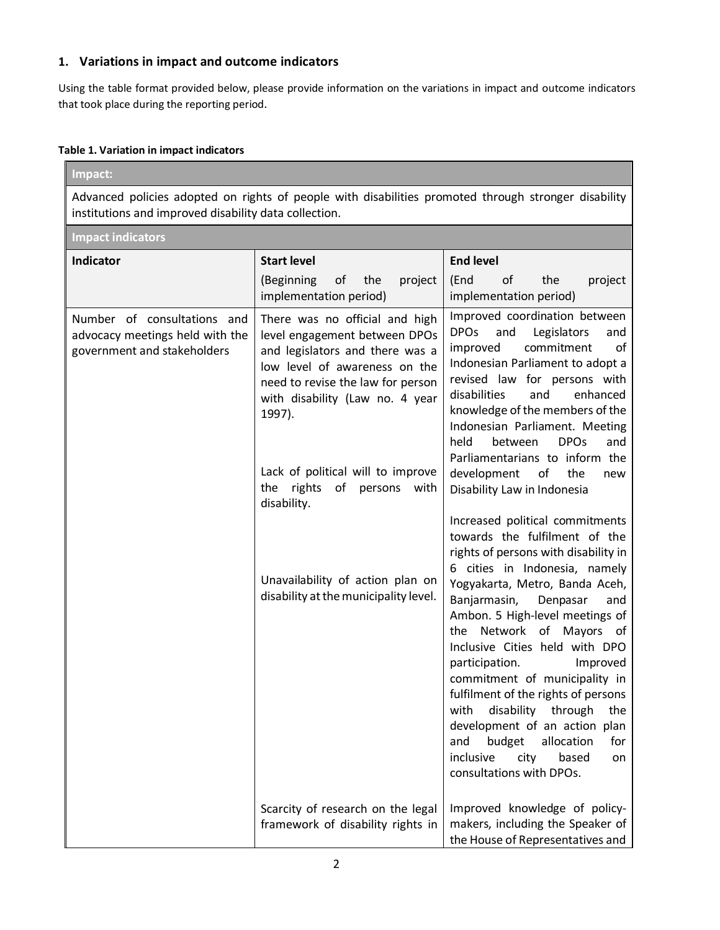## **1. Variations in impact and outcome indicators**

Using the table format provided below, please provide information on the variations in impact and outcome indicators that took place during the reporting period.

#### **Table 1. Variation in impact indicators**

| Impact:                                                                                                                                                       |                                                                                                                                                                                                                                                                                                                                                                                                  |                                                                                                                                                                                                                                                                                                                                                                                                                                                                                                                                                                                                                                                                                                                                                       |  |
|---------------------------------------------------------------------------------------------------------------------------------------------------------------|--------------------------------------------------------------------------------------------------------------------------------------------------------------------------------------------------------------------------------------------------------------------------------------------------------------------------------------------------------------------------------------------------|-------------------------------------------------------------------------------------------------------------------------------------------------------------------------------------------------------------------------------------------------------------------------------------------------------------------------------------------------------------------------------------------------------------------------------------------------------------------------------------------------------------------------------------------------------------------------------------------------------------------------------------------------------------------------------------------------------------------------------------------------------|--|
| Advanced policies adopted on rights of people with disabilities promoted through stronger disability<br>institutions and improved disability data collection. |                                                                                                                                                                                                                                                                                                                                                                                                  |                                                                                                                                                                                                                                                                                                                                                                                                                                                                                                                                                                                                                                                                                                                                                       |  |
| <b>Impact indicators</b>                                                                                                                                      |                                                                                                                                                                                                                                                                                                                                                                                                  |                                                                                                                                                                                                                                                                                                                                                                                                                                                                                                                                                                                                                                                                                                                                                       |  |
| <b>Indicator</b>                                                                                                                                              | <b>Start level</b>                                                                                                                                                                                                                                                                                                                                                                               | <b>End level</b>                                                                                                                                                                                                                                                                                                                                                                                                                                                                                                                                                                                                                                                                                                                                      |  |
|                                                                                                                                                               | (Beginning<br>of<br>the<br>project<br>implementation period)                                                                                                                                                                                                                                                                                                                                     | the<br>(End<br>of<br>project<br>implementation period)                                                                                                                                                                                                                                                                                                                                                                                                                                                                                                                                                                                                                                                                                                |  |
| Number of consultations and<br>advocacy meetings held with the<br>government and stakeholders                                                                 | There was no official and high<br>level engagement between DPOs<br>and legislators and there was a<br>low level of awareness on the<br>need to revise the law for person<br>with disability (Law no. 4 year<br>1997).<br>Lack of political will to improve<br>rights<br>the<br>of<br>persons<br>with<br>disability.<br>Unavailability of action plan on<br>disability at the municipality level. | Improved coordination between<br><b>DPOs</b><br>and<br>Legislators<br>and<br>commitment<br>improved<br>οf<br>Indonesian Parliament to adopt a<br>revised law for persons with<br>disabilities<br>enhanced<br>and<br>knowledge of the members of the<br>Indonesian Parliament. Meeting<br>held<br><b>DPOs</b><br>between<br>and<br>Parliamentarians to inform the<br>development<br>of<br>the<br>new<br>Disability Law in Indonesia<br>Increased political commitments<br>towards the fulfilment of the<br>rights of persons with disability in<br>6 cities in Indonesia, namely<br>Yogyakarta, Metro, Banda Aceh,<br>Banjarmasin,<br>Denpasar<br>and<br>Ambon. 5 High-level meetings of<br>the Network of Mayors of<br>Inclusive Cities held with DPO |  |
|                                                                                                                                                               |                                                                                                                                                                                                                                                                                                                                                                                                  | participation.<br>Improved<br>commitment of municipality in<br>fulfilment of the rights of persons<br>disability through<br>with<br>the<br>development of an action plan<br>budget<br>and<br>allocation<br>for                                                                                                                                                                                                                                                                                                                                                                                                                                                                                                                                        |  |
|                                                                                                                                                               | Scarcity of research on the legal                                                                                                                                                                                                                                                                                                                                                                | inclusive<br>city<br>based<br>on<br>consultations with DPOs.<br>Improved knowledge of policy-                                                                                                                                                                                                                                                                                                                                                                                                                                                                                                                                                                                                                                                         |  |
|                                                                                                                                                               | framework of disability rights in                                                                                                                                                                                                                                                                                                                                                                | makers, including the Speaker of<br>the House of Representatives and                                                                                                                                                                                                                                                                                                                                                                                                                                                                                                                                                                                                                                                                                  |  |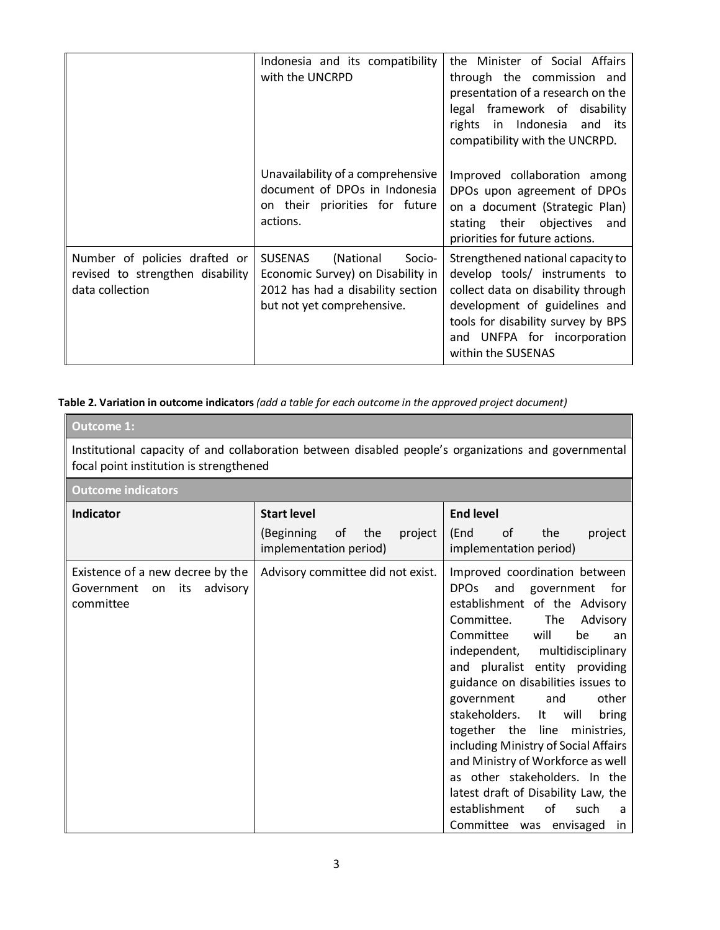|                                                                                      | Indonesia and its compatibility<br>with the UNCRPD                                                                                            | the Minister of Social Affairs<br>through the commission and<br>presentation of a research on the<br>legal framework of disability<br>rights in Indonesia<br>and its<br>compatibility with the UNCRPD.                               |
|--------------------------------------------------------------------------------------|-----------------------------------------------------------------------------------------------------------------------------------------------|--------------------------------------------------------------------------------------------------------------------------------------------------------------------------------------------------------------------------------------|
|                                                                                      | Unavailability of a comprehensive<br>document of DPOs in Indonesia<br>on their priorities for future<br>actions.                              | Improved collaboration among<br>DPOs upon agreement of DPOs<br>on a document (Strategic Plan)<br>stating their objectives<br>and<br>priorities for future actions.                                                                   |
| Number of policies drafted or<br>revised to strengthen disability<br>data collection | <b>SUSENAS</b><br>(National<br>Socio-<br>Economic Survey) on Disability in<br>2012 has had a disability section<br>but not yet comprehensive. | Strengthened national capacity to<br>develop tools/ instruments to<br>collect data on disability through<br>development of guidelines and<br>tools for disability survey by BPS<br>and UNFPA for incorporation<br>within the SUSENAS |

**Table 2. Variation in outcome indicators** *(add a table for each outcome in the approved project document)* 

| <b>Outcome 1:</b>                                                                                                                               |                                                                                    |                                                                                                                                                                                                                                                                                                                                                                                                                                                                                                                                                                                                                                   |  |
|-------------------------------------------------------------------------------------------------------------------------------------------------|------------------------------------------------------------------------------------|-----------------------------------------------------------------------------------------------------------------------------------------------------------------------------------------------------------------------------------------------------------------------------------------------------------------------------------------------------------------------------------------------------------------------------------------------------------------------------------------------------------------------------------------------------------------------------------------------------------------------------------|--|
| Institutional capacity of and collaboration between disabled people's organizations and governmental<br>focal point institution is strengthened |                                                                                    |                                                                                                                                                                                                                                                                                                                                                                                                                                                                                                                                                                                                                                   |  |
| <b>Outcome indicators</b>                                                                                                                       |                                                                                    |                                                                                                                                                                                                                                                                                                                                                                                                                                                                                                                                                                                                                                   |  |
| <b>Indicator</b>                                                                                                                                | <b>Start level</b><br>(Beginning<br>οf<br>the<br>project<br>implementation period) | <b>End level</b><br>of<br>(End<br>the<br>project<br>implementation period)                                                                                                                                                                                                                                                                                                                                                                                                                                                                                                                                                        |  |
| Existence of a new decree by the<br>Government<br>its<br>advisory<br>on<br>committee                                                            | Advisory committee did not exist.                                                  | Improved coordination between<br>DPO <sub>S</sub><br>and government<br>for<br>establishment of the Advisory<br>Committee.<br>The<br>Advisory<br>Committee<br>will<br>be<br>an<br>independent, multidisciplinary<br>and pluralist entity providing<br>guidance on disabilities issues to<br>other<br>government<br>and<br>stakeholders.<br>lt –<br>will<br>bring<br>together the<br>line<br>ministries,<br>including Ministry of Social Affairs<br>and Ministry of Workforce as well<br>as other stakeholders. In the<br>latest draft of Disability Law, the<br>establishment<br>οf<br>such<br>a<br>Committee was envisaged<br>in. |  |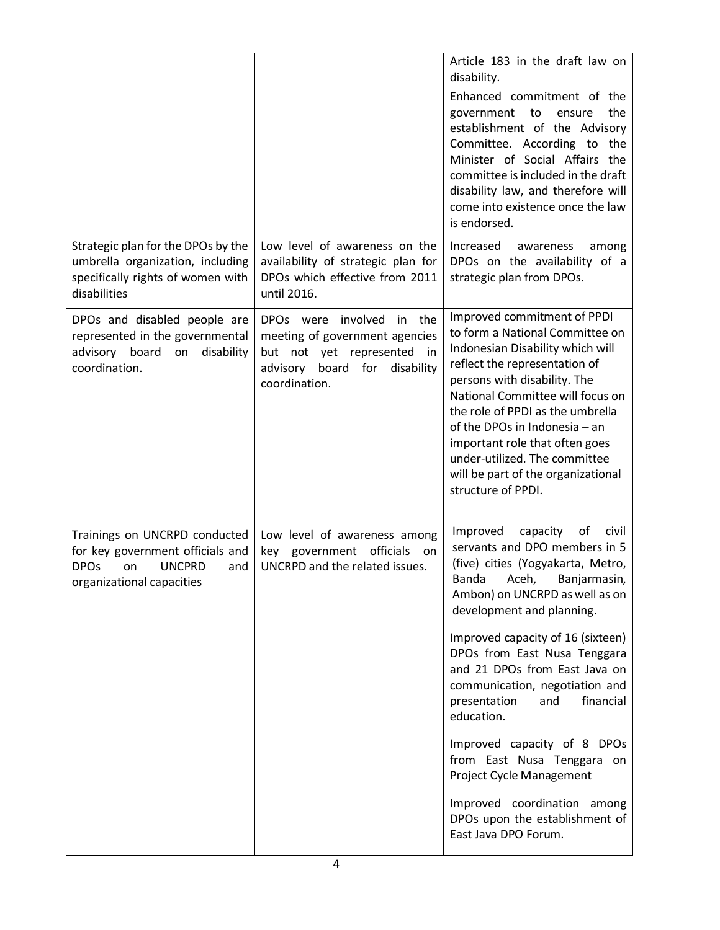|                                                                                                                                             |                                                                                                                                                                        | Article 183 in the draft law on<br>disability.<br>Enhanced commitment of the<br>the<br>government to<br>ensure<br>establishment of the Advisory<br>Committee. According to the<br>Minister of Social Affairs the<br>committee is included in the draft<br>disability law, and therefore will<br>come into existence once the law<br>is endorsed.                                                                                                                                                                                                                                 |
|---------------------------------------------------------------------------------------------------------------------------------------------|------------------------------------------------------------------------------------------------------------------------------------------------------------------------|----------------------------------------------------------------------------------------------------------------------------------------------------------------------------------------------------------------------------------------------------------------------------------------------------------------------------------------------------------------------------------------------------------------------------------------------------------------------------------------------------------------------------------------------------------------------------------|
| Strategic plan for the DPOs by the<br>umbrella organization, including<br>specifically rights of women with<br>disabilities                 | Low level of awareness on the<br>availability of strategic plan for<br>DPOs which effective from 2011<br>until 2016.                                                   | Increased<br>awareness<br>among<br>DPOs on the availability of a<br>strategic plan from DPOs.                                                                                                                                                                                                                                                                                                                                                                                                                                                                                    |
| DPOs and disabled people are<br>represented in the governmental<br>advisory board on disability<br>coordination.                            | involved<br>the<br>DPO <sub>s</sub> were<br>in<br>meeting of government agencies<br>but not yet represented<br>in<br>board for disability<br>advisory<br>coordination. | Improved commitment of PPDI<br>to form a National Committee on<br>Indonesian Disability which will<br>reflect the representation of<br>persons with disability. The<br>National Committee will focus on<br>the role of PPDI as the umbrella<br>of the DPOs in Indonesia - an<br>important role that often goes<br>under-utilized. The committee<br>will be part of the organizational<br>structure of PPDI.                                                                                                                                                                      |
| Trainings on UNCRPD conducted<br>for key government officials and<br><b>DPOs</b><br><b>UNCPRD</b><br>on<br>and<br>organizational capacities | Low level of awareness among<br>key government officials on<br>UNCRPD and the related issues.                                                                          | Improved<br>capacity<br>of<br>civil<br>servants and DPO members in 5<br>(five) cities (Yogyakarta, Metro,<br>Banda Aceh, Banjarmasin,<br>Ambon) on UNCRPD as well as on<br>development and planning.<br>Improved capacity of 16 (sixteen)<br>DPOs from East Nusa Tenggara<br>and 21 DPOs from East Java on<br>communication, negotiation and<br>and<br>financial<br>presentation<br>education.<br>Improved capacity of 8 DPOs<br>from East Nusa Tenggara on<br>Project Cycle Management<br>Improved coordination among<br>DPOs upon the establishment of<br>East Java DPO Forum. |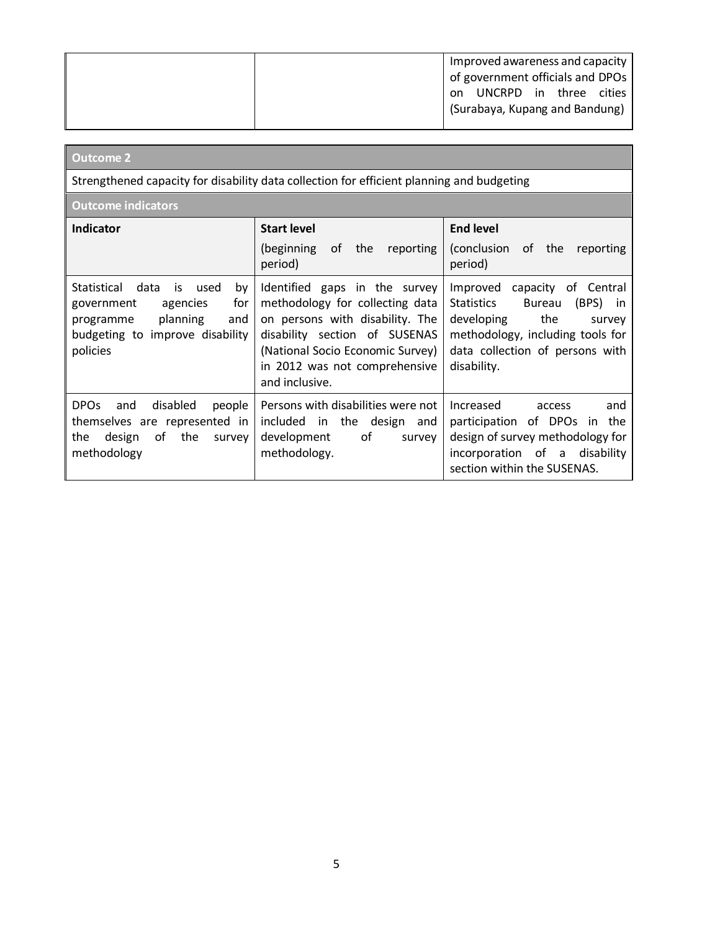| Improved awareness and capacity  |
|----------------------------------|
| of government officials and DPOs |
| UNCRPD in three<br>cities<br>on  |
| (Surabaya, Kupang and Bandung)   |
|                                  |

# **Outcome 2**

Strengthened capacity for disability data collection for efficient planning and budgeting

**Outcome indicators**

| <b>Indicator</b>                                                                                                                                                | <b>Start level</b><br>of<br>reporting<br>(beginning)<br>the<br>period)                                                                                                                                                      | <b>End level</b><br>(conclusion)<br>of the<br>reporting<br>period)                                                                                                                                         |
|-----------------------------------------------------------------------------------------------------------------------------------------------------------------|-----------------------------------------------------------------------------------------------------------------------------------------------------------------------------------------------------------------------------|------------------------------------------------------------------------------------------------------------------------------------------------------------------------------------------------------------|
| <b>Statistical</b><br>data<br>used<br>by<br>is.<br>for<br>agencies<br>government<br>planning<br>and<br>programme<br>budgeting to improve disability<br>policies | Identified gaps in the survey<br>methodology for collecting data<br>on persons with disability. The<br>disability section of SUSENAS<br>(National Socio Economic Survey)<br>in 2012 was not comprehensive<br>and inclusive. | Improved<br>capacity of Central<br><b>Statistics</b><br>(BPS)<br><b>Bureau</b><br>in.<br>developing<br>the<br>survey<br>methodology, including tools for<br>data collection of persons with<br>disability. |
| <b>DPOs</b><br>disabled<br>people<br>and<br>themselves are represented in<br>the<br>οf<br>the<br>design<br>survey<br>methodology                                | Persons with disabilities were not<br>in the design<br>included<br>and<br>οf<br>development<br>survey<br>methodology.                                                                                                       | Increased<br>and<br>access<br>of DPOs<br>participation<br>the<br>in<br>design of survey methodology for<br>incorporation of a<br>disability<br>section within the SUSENAS.                                 |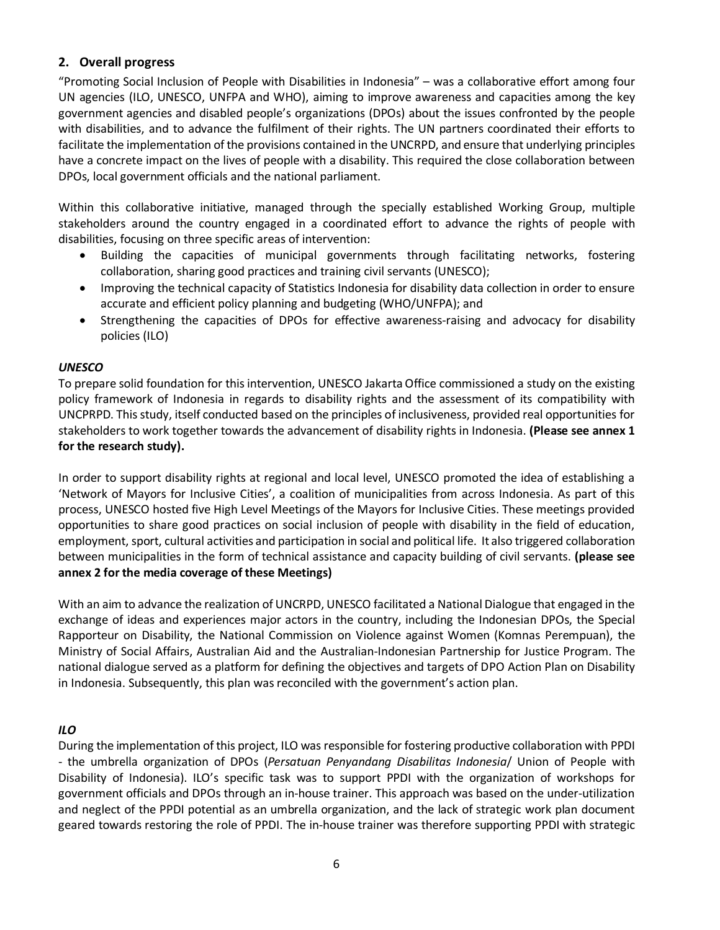## **2. Overall progress**

"Promoting Social Inclusion of People with Disabilities in Indonesia" – was a collaborative effort among four UN agencies (ILO, UNESCO, UNFPA and WHO), aiming to improve awareness and capacities among the key government agencies and disabled people's organizations (DPOs) about the issues confronted by the people with disabilities, and to advance the fulfilment of their rights. The UN partners coordinated their efforts to facilitate the implementation of the provisions contained in the UNCRPD, and ensure that underlying principles have a concrete impact on the lives of people with a disability. This required the close collaboration between DPOs, local government officials and the national parliament.

Within this collaborative initiative, managed through the specially established Working Group, multiple stakeholders around the country engaged in a coordinated effort to advance the rights of people with disabilities, focusing on three specific areas of intervention:

- Building the capacities of municipal governments through facilitating networks, fostering collaboration, sharing good practices and training civil servants (UNESCO);
- Improving the technical capacity of Statistics Indonesia for disability data collection in order to ensure accurate and efficient policy planning and budgeting (WHO/UNFPA); and
- Strengthening the capacities of DPOs for effective awareness-raising and advocacy for disability policies (ILO)

## *UNESCO*

To prepare solid foundation for this intervention, UNESCO Jakarta Office commissioned a study on the existing policy framework of Indonesia in regards to disability rights and the assessment of its compatibility with UNCPRPD. This study, itself conducted based on the principles of inclusiveness, provided real opportunities for stakeholders to work together towards the advancement of disability rights in Indonesia. **(Please see annex 1 for the research study).** 

In order to support disability rights at regional and local level, UNESCO promoted the idea of establishing a 'Network of Mayors for Inclusive Cities', a coalition of municipalities from across Indonesia. As part of this process, UNESCO hosted five High Level Meetings of the Mayors for Inclusive Cities. These meetings provided opportunities to share good practices on social inclusion of people with disability in the field of education, employment, sport, cultural activities and participation in social and political life. It also triggered collaboration between municipalities in the form of technical assistance and capacity building of civil servants. **(please see annex 2 for the media coverage of these Meetings)** 

With an aim to advance the realization of UNCRPD, UNESCO facilitated a National Dialogue that engaged in the exchange of ideas and experiences major actors in the country, including the Indonesian DPOs, the Special Rapporteur on Disability, the National Commission on Violence against Women (Komnas Perempuan), the Ministry of Social Affairs, Australian Aid and the Australian-Indonesian Partnership for Justice Program. The national dialogue served as a platform for defining the objectives and targets of DPO Action Plan on Disability in Indonesia. Subsequently, this plan was reconciled with the government's action plan.

## *ILO*

During the implementation of this project, ILO was responsible for fostering productive collaboration with PPDI - the umbrella organization of DPOs (*Persatuan Penyandang Disabilitas Indonesia*/ Union of People with Disability of Indonesia). ILO's specific task was to support PPDI with the organization of workshops for government officials and DPOs through an in-house trainer. This approach was based on the under-utilization and neglect of the PPDI potential as an umbrella organization, and the lack of strategic work plan document geared towards restoring the role of PPDI. The in-house trainer was therefore supporting PPDI with strategic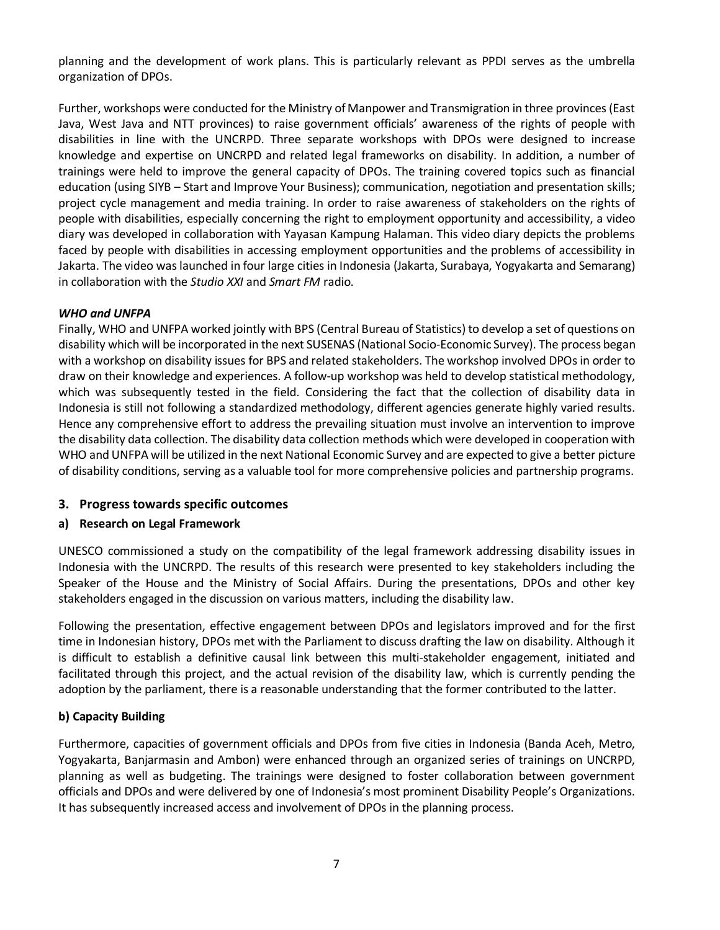planning and the development of work plans. This is particularly relevant as PPDI serves as the umbrella organization of DPOs.

Further, workshops were conducted for the Ministry of Manpower and Transmigration in three provinces (East Java, West Java and NTT provinces) to raise government officials' awareness of the rights of people with disabilities in line with the UNCRPD. Three separate workshops with DPOs were designed to increase knowledge and expertise on UNCRPD and related legal frameworks on disability. In addition, a number of trainings were held to improve the general capacity of DPOs. The training covered topics such as financial education (using SIYB – Start and Improve Your Business); communication, negotiation and presentation skills; project cycle management and media training. In order to raise awareness of stakeholders on the rights of people with disabilities, especially concerning the right to employment opportunity and accessibility, a video diary was developed in collaboration with Yayasan Kampung Halaman. This video diary depicts the problems faced by people with disabilities in accessing employment opportunities and the problems of accessibility in Jakarta. The video was launched in four large cities in Indonesia (Jakarta, Surabaya, Yogyakarta and Semarang) in collaboration with the *Studio XXI* and *Smart FM* radio.

## *WHO and UNFPA*

Finally, WHO and UNFPA worked jointly with BPS (Central Bureau of Statistics) to develop a set of questions on disability which will be incorporated in the next SUSENAS (National Socio-Economic Survey). The process began with a workshop on disability issues for BPS and related stakeholders. The workshop involved DPOs in order to draw on their knowledge and experiences. A follow-up workshop was held to develop statistical methodology, which was subsequently tested in the field. Considering the fact that the collection of disability data in Indonesia is still not following a standardized methodology, different agencies generate highly varied results. Hence any comprehensive effort to address the prevailing situation must involve an intervention to improve the disability data collection. The disability data collection methods which were developed in cooperation with WHO and UNFPA will be utilized in the next National Economic Survey and are expected to give a better picture of disability conditions, serving as a valuable tool for more comprehensive policies and partnership programs.

## **3. Progress towards specific outcomes**

## **a) Research on Legal Framework**

UNESCO commissioned a study on the compatibility of the legal framework addressing disability issues in Indonesia with the UNCRPD. The results of this research were presented to key stakeholders including the Speaker of the House and the Ministry of Social Affairs. During the presentations, DPOs and other key stakeholders engaged in the discussion on various matters, including the disability law.

Following the presentation, effective engagement between DPOs and legislators improved and for the first time in Indonesian history, DPOs met with the Parliament to discuss drafting the law on disability. Although it is difficult to establish a definitive causal link between this multi-stakeholder engagement, initiated and facilitated through this project, and the actual revision of the disability law, which is currently pending the adoption by the parliament, there is a reasonable understanding that the former contributed to the latter.

#### **b) Capacity Building**

Furthermore, capacities of government officials and DPOs from five cities in Indonesia (Banda Aceh, Metro, Yogyakarta, Banjarmasin and Ambon) were enhanced through an organized series of trainings on UNCRPD, planning as well as budgeting. The trainings were designed to foster collaboration between government officials and DPOs and were delivered by one of Indonesia's most prominent Disability People's Organizations. It has subsequently increased access and involvement of DPOs in the planning process.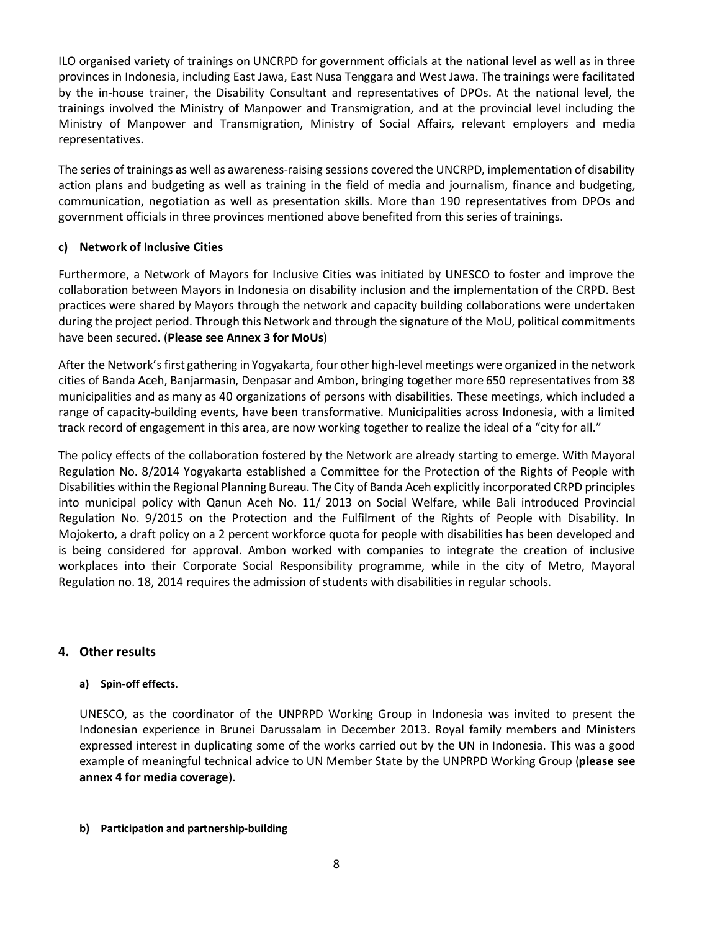ILO organised variety of trainings on UNCRPD for government officials at the national level as well as in three provinces in Indonesia, including East Jawa, East Nusa Tenggara and West Jawa. The trainings were facilitated by the in-house trainer, the Disability Consultant and representatives of DPOs. At the national level, the trainings involved the Ministry of Manpower and Transmigration, and at the provincial level including the Ministry of Manpower and Transmigration, Ministry of Social Affairs, relevant employers and media representatives.

The series of trainings as well as awareness-raising sessions covered the UNCRPD, implementation of disability action plans and budgeting as well as training in the field of media and journalism, finance and budgeting, communication, negotiation as well as presentation skills. More than 190 representatives from DPOs and government officials in three provinces mentioned above benefited from this series of trainings.

## **c) Network of Inclusive Cities**

Furthermore, a Network of Mayors for Inclusive Cities was initiated by UNESCO to foster and improve the collaboration between Mayors in Indonesia on disability inclusion and the implementation of the CRPD. Best practices were shared by Mayors through the network and capacity building collaborations were undertaken during the project period. Through this Network and through the signature of the MoU, political commitments have been secured. (**Please see Annex 3 for MoUs**)

After the Network's first gathering in Yogyakarta, four other high-level meetings were organized in the network cities of Banda Aceh, Banjarmasin, Denpasar and Ambon, bringing together more 650 representatives from 38 municipalities and as many as 40 organizations of persons with disabilities. These meetings, which included a range of capacity-building events, have been transformative. Municipalities across Indonesia, with a limited track record of engagement in this area, are now working together to realize the ideal of a "city for all."

The policy effects of the collaboration fostered by the Network are already starting to emerge. With Mayoral Regulation No. 8/2014 Yogyakarta established a Committee for the Protection of the Rights of People with Disabilities within the Regional Planning Bureau. The City of Banda Aceh explicitly incorporated CRPD principles into municipal policy with Qanun Aceh No. 11/ 2013 on Social Welfare, while Bali introduced Provincial Regulation No. 9/2015 on the Protection and the Fulfilment of the Rights of People with Disability. In Mojokerto, a draft policy on a 2 percent workforce quota for people with disabilities has been developed and is being considered for approval. Ambon worked with companies to integrate the creation of inclusive workplaces into their Corporate Social Responsibility programme, while in the city of Metro, Mayoral Regulation no. 18, 2014 requires the admission of students with disabilities in regular schools.

## **4. Other results**

#### **a) Spin-off effects**.

UNESCO, as the coordinator of the UNPRPD Working Group in Indonesia was invited to present the Indonesian experience in Brunei Darussalam in December 2013. Royal family members and Ministers expressed interest in duplicating some of the works carried out by the UN in Indonesia. This was a good example of meaningful technical advice to UN Member State by the UNPRPD Working Group (**please see annex 4 for media coverage**).

#### **b) Participation and partnership-building**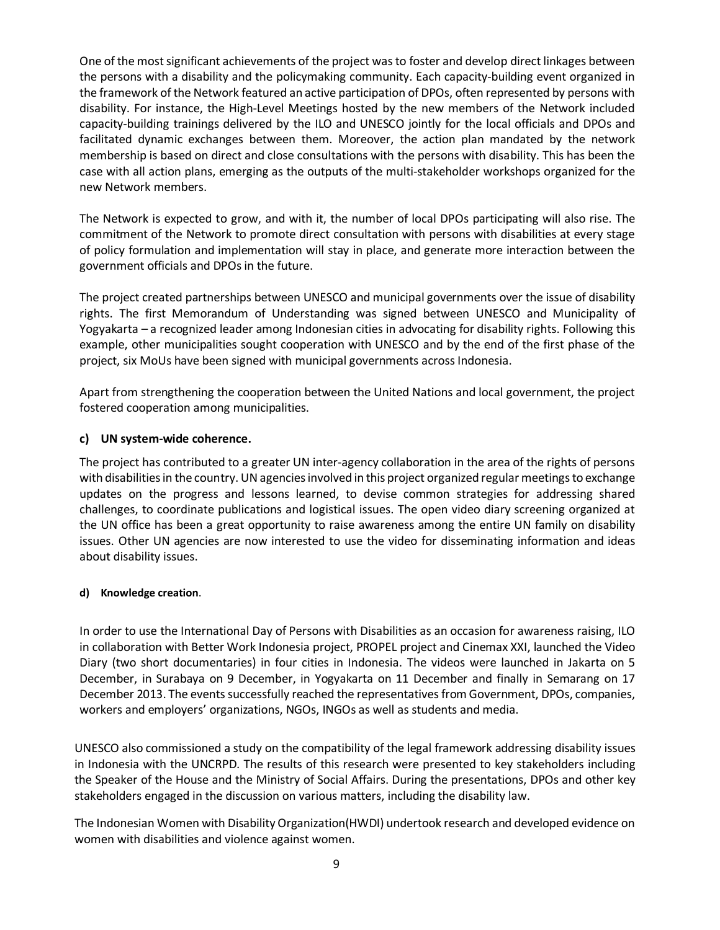One of the most significant achievements of the project was to foster and develop direct linkages between the persons with a disability and the policymaking community. Each capacity-building event organized in the framework of the Network featured an active participation of DPOs, often represented by persons with disability. For instance, the High-Level Meetings hosted by the new members of the Network included capacity-building trainings delivered by the ILO and UNESCO jointly for the local officials and DPOs and facilitated dynamic exchanges between them. Moreover, the action plan mandated by the network membership is based on direct and close consultations with the persons with disability. This has been the case with all action plans, emerging as the outputs of the multi-stakeholder workshops organized for the new Network members.

The Network is expected to grow, and with it, the number of local DPOs participating will also rise. The commitment of the Network to promote direct consultation with persons with disabilities at every stage of policy formulation and implementation will stay in place, and generate more interaction between the government officials and DPOs in the future.

The project created partnerships between UNESCO and municipal governments over the issue of disability rights. The first Memorandum of Understanding was signed between UNESCO and Municipality of Yogyakarta – a recognized leader among Indonesian cities in advocating for disability rights. Following this example, other municipalities sought cooperation with UNESCO and by the end of the first phase of the project, six MoUs have been signed with municipal governments across Indonesia.

Apart from strengthening the cooperation between the United Nations and local government, the project fostered cooperation among municipalities.

#### **c) UN system-wide coherence.**

The project has contributed to a greater UN inter-agency collaboration in the area of the rights of persons with disabilities in the country. UN agencies involved in this project organized regular meetings to exchange updates on the progress and lessons learned, to devise common strategies for addressing shared challenges, to coordinate publications and logistical issues. The open video diary screening organized at the UN office has been a great opportunity to raise awareness among the entire UN family on disability issues. Other UN agencies are now interested to use the video for disseminating information and ideas about disability issues.

#### **d) Knowledge creation**.

In order to use the International Day of Persons with Disabilities as an occasion for awareness raising, ILO in collaboration with Better Work Indonesia project, PROPEL project and Cinemax XXI, launched the Video Diary (two short documentaries) in four cities in Indonesia. The videos were launched in Jakarta on 5 December, in Surabaya on 9 December, in Yogyakarta on 11 December and finally in Semarang on 17 December 2013. The events successfully reached the representatives from Government, DPOs, companies, workers and employers' organizations, NGOs, INGOs as well as students and media.

UNESCO also commissioned a study on the compatibility of the legal framework addressing disability issues in Indonesia with the UNCRPD. The results of this research were presented to key stakeholders including the Speaker of the House and the Ministry of Social Affairs. During the presentations, DPOs and other key stakeholders engaged in the discussion on various matters, including the disability law.

The Indonesian Women with Disability Organization(HWDI) undertook research and developed evidence on women with disabilities and violence against women.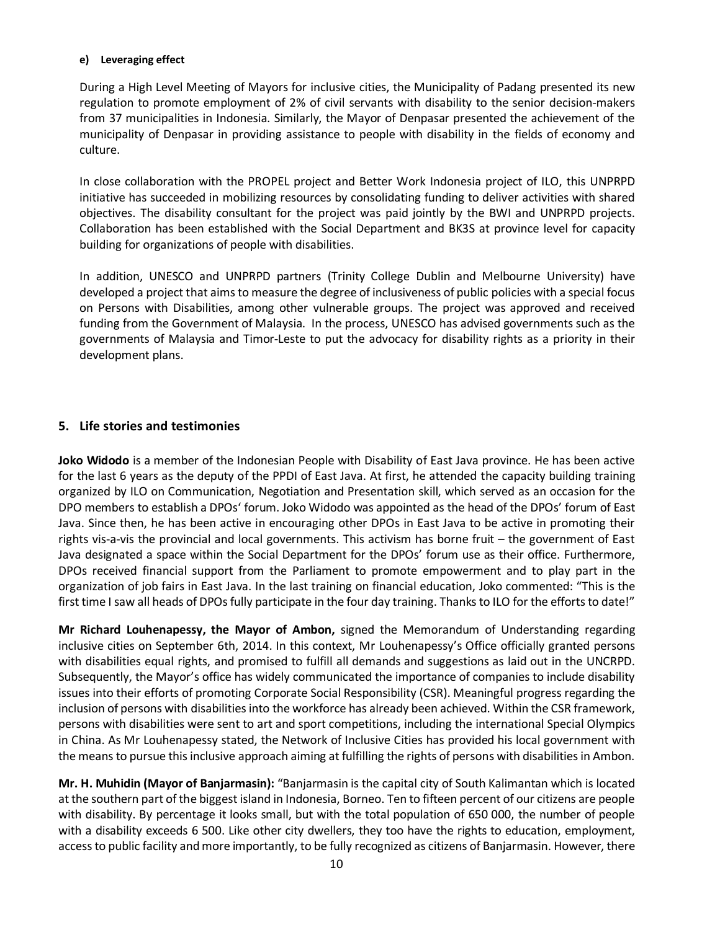#### **e) Leveraging effect**

During a High Level Meeting of Mayors for inclusive cities, the Municipality of Padang presented its new regulation to promote employment of 2% of civil servants with disability to the senior decision-makers from 37 municipalities in Indonesia. Similarly, the Mayor of Denpasar presented the achievement of the municipality of Denpasar in providing assistance to people with disability in the fields of economy and culture.

In close collaboration with the PROPEL project and Better Work Indonesia project of ILO, this UNPRPD initiative has succeeded in mobilizing resources by consolidating funding to deliver activities with shared objectives. The disability consultant for the project was paid jointly by the BWI and UNPRPD projects. Collaboration has been established with the Social Department and BK3S at province level for capacity building for organizations of people with disabilities.

In addition, UNESCO and UNPRPD partners (Trinity College Dublin and Melbourne University) have developed a project that aims to measure the degree of inclusiveness of public policies with a special focus on Persons with Disabilities, among other vulnerable groups. The project was approved and received funding from the Government of Malaysia. In the process, UNESCO has advised governments such as the governments of Malaysia and Timor-Leste to put the advocacy for disability rights as a priority in their development plans.

## **5. Life stories and testimonies**

**Joko Widodo** is a member of the Indonesian People with Disability of East Java province. He has been active for the last 6 years as the deputy of the PPDI of East Java. At first, he attended the capacity building training organized by ILO on Communication, Negotiation and Presentation skill, which served as an occasion for the DPO members to establish a DPOs' forum. Joko Widodo was appointed as the head of the DPOs' forum of East Java. Since then, he has been active in encouraging other DPOs in East Java to be active in promoting their rights vis-a-vis the provincial and local governments. This activism has borne fruit – the government of East Java designated a space within the Social Department for the DPOs' forum use as their office. Furthermore, DPOs received financial support from the Parliament to promote empowerment and to play part in the organization of job fairs in East Java. In the last training on financial education, Joko commented: "This is the first time I saw all heads of DPOs fully participate in the four day training. Thanks to ILO for the efforts to date!"

**Mr Richard Louhenapessy, the Mayor of Ambon,** signed the Memorandum of Understanding regarding inclusive cities on September 6th, 2014. In this context, Mr Louhenapessy's Office officially granted persons with disabilities equal rights, and promised to fulfill all demands and suggestions as laid out in the UNCRPD. Subsequently, the Mayor's office has widely communicated the importance of companies to include disability issues into their efforts of promoting Corporate Social Responsibility (CSR). Meaningful progress regarding the inclusion of persons with disabilities into the workforce has already been achieved. Within the CSR framework, persons with disabilities were sent to art and sport competitions, including the international Special Olympics in China. As Mr Louhenapessy stated, the Network of Inclusive Cities has provided his local government with the means to pursue this inclusive approach aiming at fulfilling the rights of persons with disabilities in Ambon.

**Mr. H. Muhidin (Mayor of Banjarmasin):** "Banjarmasin is the capital city of South Kalimantan which is located at the southern part of the biggest island in Indonesia, Borneo. Ten to fifteen percent of our citizens are people with disability. By percentage it looks small, but with the total population of 650 000, the number of people with a disability exceeds 6 500. Like other city dwellers, they too have the rights to education, employment, access to public facility and more importantly, to be fully recognized as citizens of Banjarmasin. However, there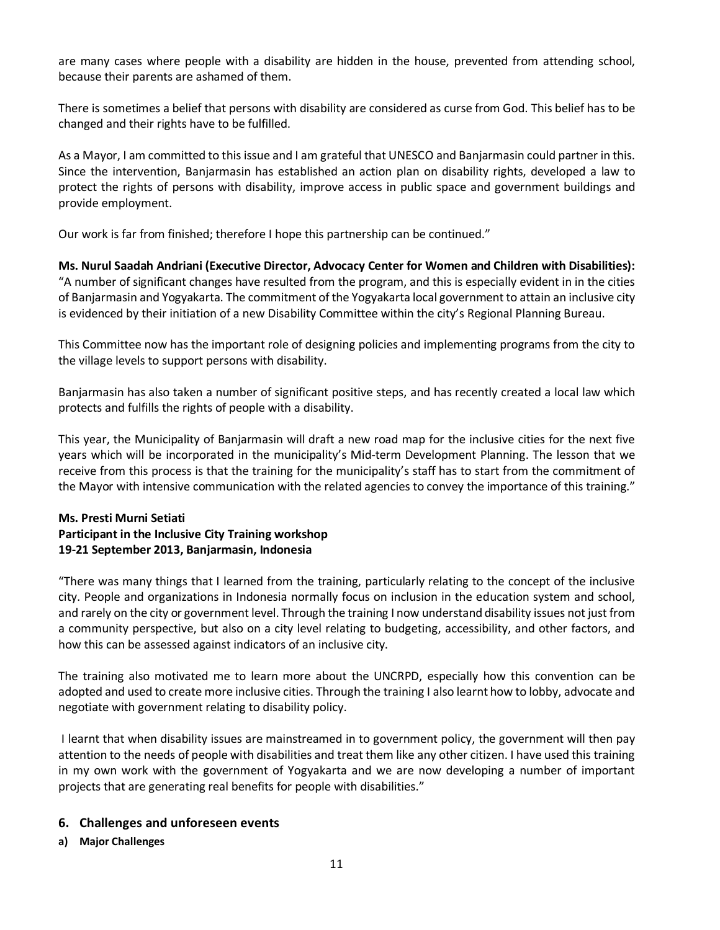are many cases where people with a disability are hidden in the house, prevented from attending school, because their parents are ashamed of them.

There is sometimes a belief that persons with disability are considered as curse from God. This belief has to be changed and their rights have to be fulfilled.

As a Mayor, I am committed to this issue and I am grateful that UNESCO and Banjarmasin could partner in this. Since the intervention, Banjarmasin has established an action plan on disability rights, developed a law to protect the rights of persons with disability, improve access in public space and government buildings and provide employment.

Our work is far from finished; therefore I hope this partnership can be continued."

**Ms. Nurul Saadah Andriani (Executive Director, Advocacy Center for Women and Children with Disabilities):**  "A number of significant changes have resulted from the program, and this is especially evident in in the cities of Banjarmasin and Yogyakarta. The commitment of the Yogyakarta local government to attain an inclusive city is evidenced by their initiation of a new Disability Committee within the city's Regional Planning Bureau.

This Committee now has the important role of designing policies and implementing programs from the city to the village levels to support persons with disability.

Banjarmasin has also taken a number of significant positive steps, and has recently created a local law which protects and fulfills the rights of people with a disability.

This year, the Municipality of Banjarmasin will draft a new road map for the inclusive cities for the next five years which will be incorporated in the municipality's Mid-term Development Planning. The lesson that we receive from this process is that the training for the municipality's staff has to start from the commitment of the Mayor with intensive communication with the related agencies to convey the importance of this training."

## **Ms. Presti Murni Setiati Participant in the Inclusive City Training workshop 19-21 September 2013, Banjarmasin, Indonesia**

"There was many things that I learned from the training, particularly relating to the concept of the inclusive city. People and organizations in Indonesia normally focus on inclusion in the education system and school, and rarely on the city or government level. Through the training I now understand disability issues not just from a community perspective, but also on a city level relating to budgeting, accessibility, and other factors, and how this can be assessed against indicators of an inclusive city.

The training also motivated me to learn more about the UNCRPD, especially how this convention can be adopted and used to create more inclusive cities. Through the training I also learnt how to lobby, advocate and negotiate with government relating to disability policy.

I learnt that when disability issues are mainstreamed in to government policy, the government will then pay attention to the needs of people with disabilities and treat them like any other citizen. I have used this training in my own work with the government of Yogyakarta and we are now developing a number of important projects that are generating real benefits for people with disabilities."

#### **6. Challenges and unforeseen events**

**a) Major Challenges**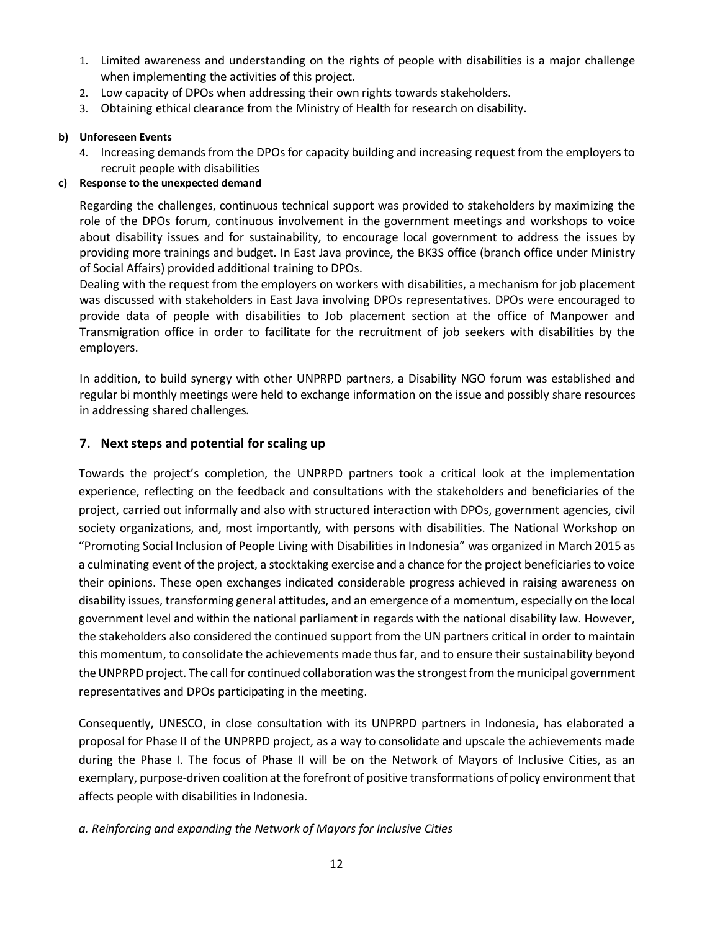- 1. Limited awareness and understanding on the rights of people with disabilities is a major challenge when implementing the activities of this project.
- 2. Low capacity of DPOs when addressing their own rights towards stakeholders.
- 3. Obtaining ethical clearance from the Ministry of Health for research on disability.

## **b) Unforeseen Events**

4. Increasing demands from the DPOs for capacity building and increasing request from the employers to recruit people with disabilities

## **c) Response to the unexpected demand**

Regarding the challenges, continuous technical support was provided to stakeholders by maximizing the role of the DPOs forum, continuous involvement in the government meetings and workshops to voice about disability issues and for sustainability, to encourage local government to address the issues by providing more trainings and budget. In East Java province, the BK3S office (branch office under Ministry of Social Affairs) provided additional training to DPOs.

Dealing with the request from the employers on workers with disabilities, a mechanism for job placement was discussed with stakeholders in East Java involving DPOs representatives. DPOs were encouraged to provide data of people with disabilities to Job placement section at the office of Manpower and Transmigration office in order to facilitate for the recruitment of job seekers with disabilities by the employers.

In addition, to build synergy with other UNPRPD partners, a Disability NGO forum was established and regular bi monthly meetings were held to exchange information on the issue and possibly share resources in addressing shared challenges.

## **7. Next steps and potential for scaling up**

Towards the project's completion, the UNPRPD partners took a critical look at the implementation experience, reflecting on the feedback and consultations with the stakeholders and beneficiaries of the project, carried out informally and also with structured interaction with DPOs, government agencies, civil society organizations, and, most importantly, with persons with disabilities. The National Workshop on "Promoting Social Inclusion of People Living with Disabilities in Indonesia" was organized in March 2015 as a culminating event of the project, a stocktaking exercise and a chance for the project beneficiaries to voice their opinions. These open exchanges indicated considerable progress achieved in raising awareness on disability issues, transforming general attitudes, and an emergence of a momentum, especially on the local government level and within the national parliament in regards with the national disability law. However, the stakeholders also considered the continued support from the UN partners critical in order to maintain this momentum, to consolidate the achievements made thus far, and to ensure their sustainability beyond the UNPRPD project. The call for continued collaboration was the strongest from the municipal government representatives and DPOs participating in the meeting.

Consequently, UNESCO, in close consultation with its UNPRPD partners in Indonesia, has elaborated a proposal for Phase II of the UNPRPD project, as a way to consolidate and upscale the achievements made during the Phase I. The focus of Phase II will be on the Network of Mayors of Inclusive Cities, as an exemplary, purpose-driven coalition at the forefront of positive transformations of policy environment that affects people with disabilities in Indonesia.

## *a. Reinforcing and expanding the Network of Mayors for Inclusive Cities*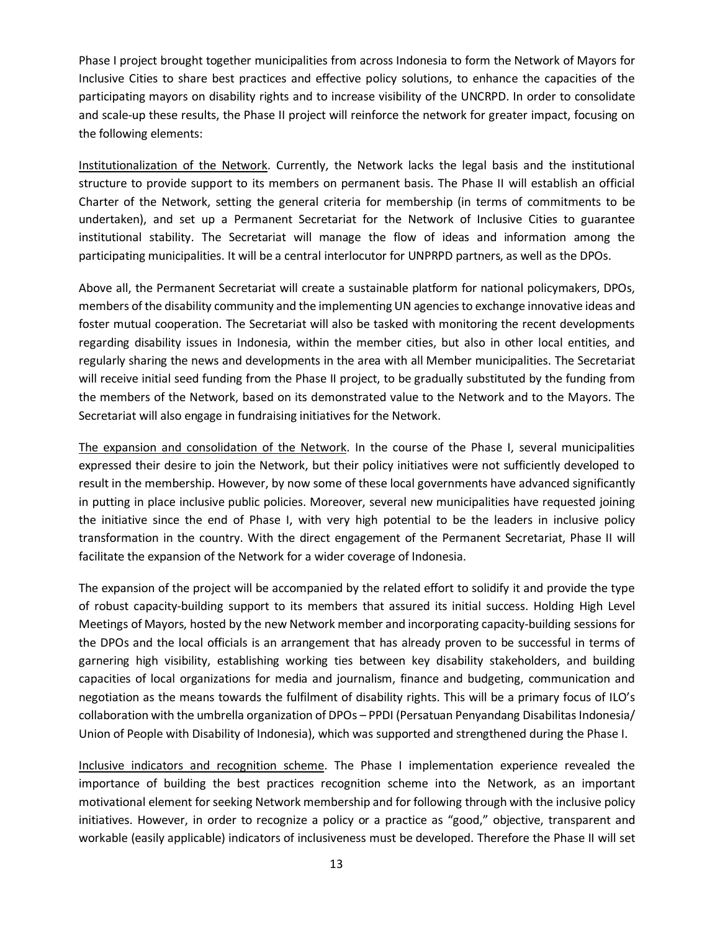Phase I project brought together municipalities from across Indonesia to form the Network of Mayors for Inclusive Cities to share best practices and effective policy solutions, to enhance the capacities of the participating mayors on disability rights and to increase visibility of the UNCRPD. In order to consolidate and scale-up these results, the Phase II project will reinforce the network for greater impact, focusing on the following elements:

Institutionalization of the Network. Currently, the Network lacks the legal basis and the institutional structure to provide support to its members on permanent basis. The Phase II will establish an official Charter of the Network, setting the general criteria for membership (in terms of commitments to be undertaken), and set up a Permanent Secretariat for the Network of Inclusive Cities to guarantee institutional stability. The Secretariat will manage the flow of ideas and information among the participating municipalities. It will be a central interlocutor for UNPRPD partners, as well as the DPOs.

Above all, the Permanent Secretariat will create a sustainable platform for national policymakers, DPOs, members of the disability community and the implementing UN agencies to exchange innovative ideas and foster mutual cooperation. The Secretariat will also be tasked with monitoring the recent developments regarding disability issues in Indonesia, within the member cities, but also in other local entities, and regularly sharing the news and developments in the area with all Member municipalities. The Secretariat will receive initial seed funding from the Phase II project, to be gradually substituted by the funding from the members of the Network, based on its demonstrated value to the Network and to the Mayors. The Secretariat will also engage in fundraising initiatives for the Network.

The expansion and consolidation of the Network. In the course of the Phase I, several municipalities expressed their desire to join the Network, but their policy initiatives were not sufficiently developed to result in the membership. However, by now some of these local governments have advanced significantly in putting in place inclusive public policies. Moreover, several new municipalities have requested joining the initiative since the end of Phase I, with very high potential to be the leaders in inclusive policy transformation in the country. With the direct engagement of the Permanent Secretariat, Phase II will facilitate the expansion of the Network for a wider coverage of Indonesia.

The expansion of the project will be accompanied by the related effort to solidify it and provide the type of robust capacity-building support to its members that assured its initial success. Holding High Level Meetings of Mayors, hosted by the new Network member and incorporating capacity-building sessions for the DPOs and the local officials is an arrangement that has already proven to be successful in terms of garnering high visibility, establishing working ties between key disability stakeholders, and building capacities of local organizations for media and journalism, finance and budgeting, communication and negotiation as the means towards the fulfilment of disability rights. This will be a primary focus of ILO's collaboration with the umbrella organization of DPOs – PPDI (Persatuan Penyandang Disabilitas Indonesia/ Union of People with Disability of Indonesia), which was supported and strengthened during the Phase I.

Inclusive indicators and recognition scheme. The Phase I implementation experience revealed the importance of building the best practices recognition scheme into the Network, as an important motivational element for seeking Network membership and for following through with the inclusive policy initiatives. However, in order to recognize a policy or a practice as "good," objective, transparent and workable (easily applicable) indicators of inclusiveness must be developed. Therefore the Phase II will set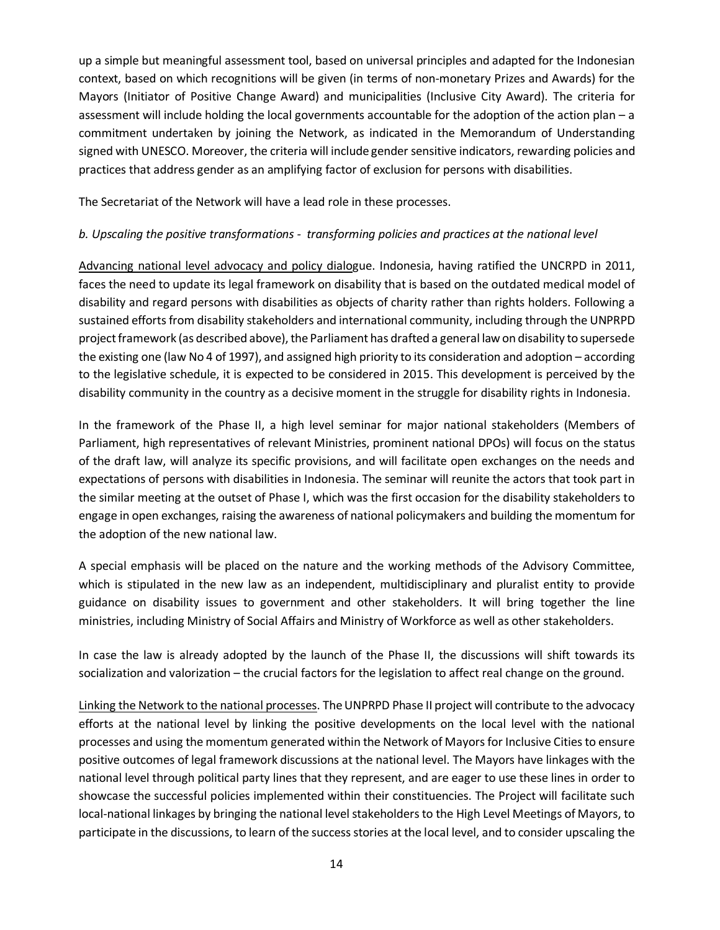up a simple but meaningful assessment tool, based on universal principles and adapted for the Indonesian context, based on which recognitions will be given (in terms of non-monetary Prizes and Awards) for the Mayors (Initiator of Positive Change Award) and municipalities (Inclusive City Award). The criteria for assessment will include holding the local governments accountable for the adoption of the action plan – a commitment undertaken by joining the Network, as indicated in the Memorandum of Understanding signed with UNESCO. Moreover, the criteria will include gender sensitive indicators, rewarding policies and practices that address gender as an amplifying factor of exclusion for persons with disabilities.

The Secretariat of the Network will have a lead role in these processes.

## *b. Upscaling the positive transformations - transforming policies and practices at the national level*

Advancing national level advocacy and policy dialogue. Indonesia, having ratified the UNCRPD in 2011, faces the need to update its legal framework on disability that is based on the outdated medical model of disability and regard persons with disabilities as objects of charity rather than rights holders. Following a sustained efforts from disability stakeholders and international community, including through the UNPRPD project framework (as described above), the Parliament has drafted a general law on disability to supersede the existing one (law No 4 of 1997), and assigned high priority to its consideration and adoption – according to the legislative schedule, it is expected to be considered in 2015. This development is perceived by the disability community in the country as a decisive moment in the struggle for disability rights in Indonesia.

In the framework of the Phase II, a high level seminar for major national stakeholders (Members of Parliament, high representatives of relevant Ministries, prominent national DPOs) will focus on the status of the draft law, will analyze its specific provisions, and will facilitate open exchanges on the needs and expectations of persons with disabilities in Indonesia. The seminar will reunite the actors that took part in the similar meeting at the outset of Phase I, which was the first occasion for the disability stakeholders to engage in open exchanges, raising the awareness of national policymakers and building the momentum for the adoption of the new national law.

A special emphasis will be placed on the nature and the working methods of the Advisory Committee, which is stipulated in the new law as an independent, multidisciplinary and pluralist entity to provide guidance on disability issues to government and other stakeholders. It will bring together the line ministries, including Ministry of Social Affairs and Ministry of Workforce as well as other stakeholders.

In case the law is already adopted by the launch of the Phase II, the discussions will shift towards its socialization and valorization – the crucial factors for the legislation to affect real change on the ground.

Linking the Network to the national processes. The UNPRPD Phase II project will contribute to the advocacy efforts at the national level by linking the positive developments on the local level with the national processes and using the momentum generated within the Network of Mayors for Inclusive Cities to ensure positive outcomes of legal framework discussions at the national level. The Mayors have linkages with the national level through political party lines that they represent, and are eager to use these lines in order to showcase the successful policies implemented within their constituencies. The Project will facilitate such local-national linkages by bringing the national level stakeholders to the High Level Meetings of Mayors, to participate in the discussions, to learn of the success stories at the local level, and to consider upscaling the